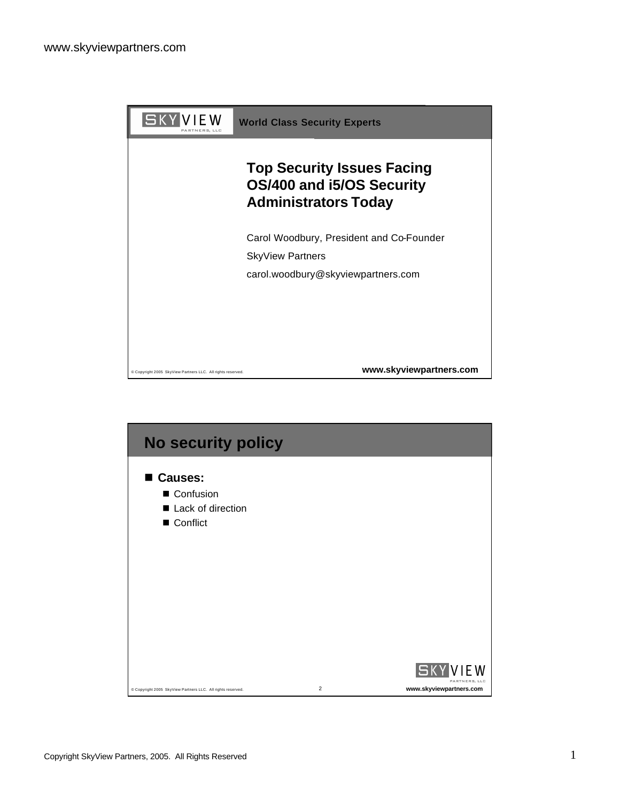



Copyright SkyView Partners, 2005. All Rights Reserved 1 1 2008 1 2009 1 2009 1 2009 1 2009 1 2009 1 2009 1 2009 1 2009 1 2009 1 2009 1 2009 1 2009 1 2009 1 2009 1 2009 1 2009 1 2009 1 2009 1 2009 1 2009 1 2009 1 2009 1 200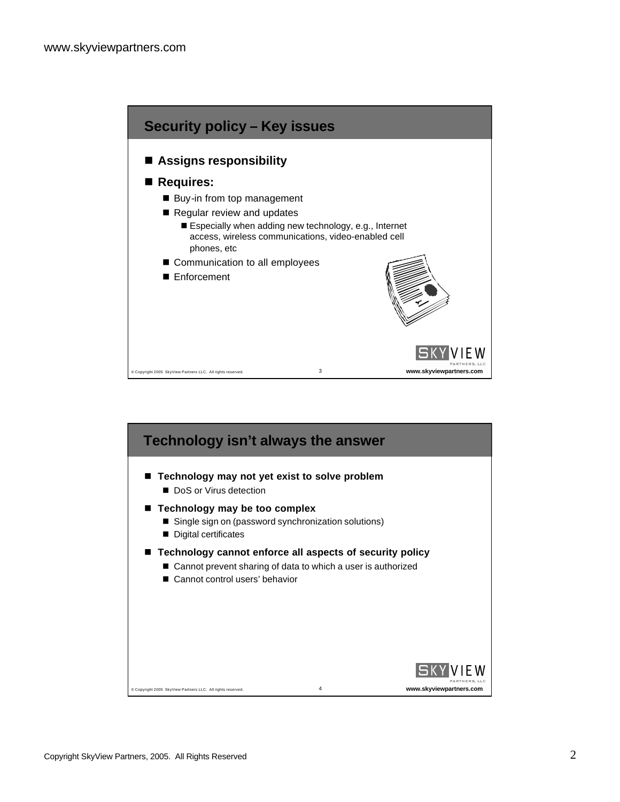

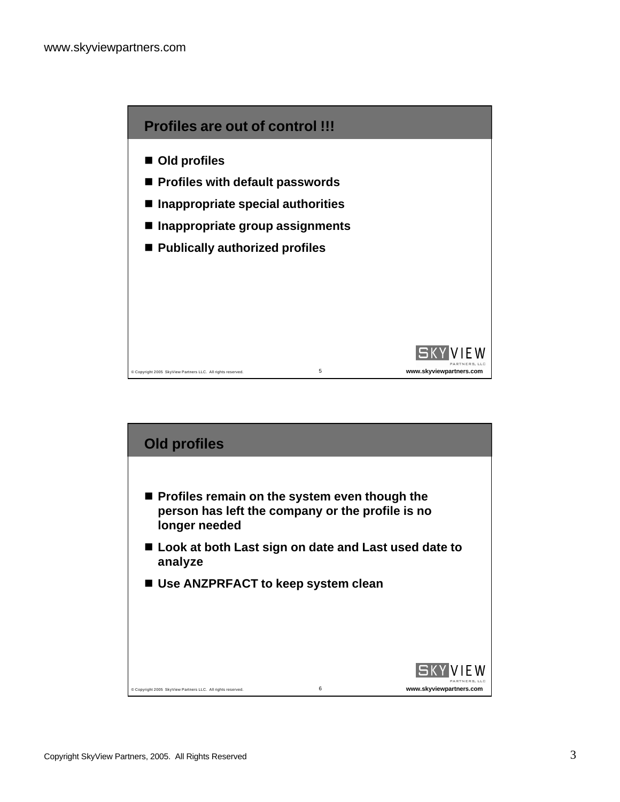

- Old profiles
- Profiles with default passwords
- Inappropriate special authorities
- Inappropriate group assignments
- Publically authorized profiles



- Look at both Last sign on date and Last used date to **analyze**
- Use ANZPRFACT to keep system clean

**longer needed**

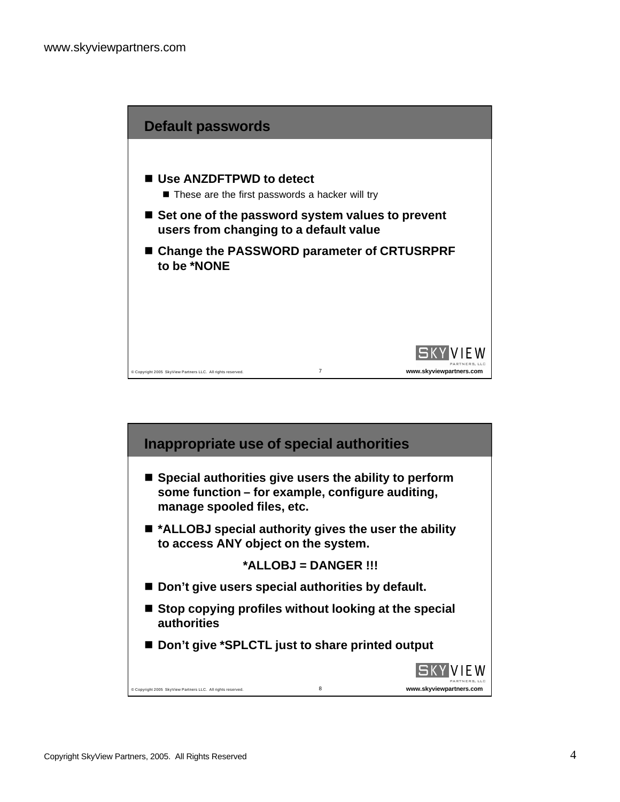

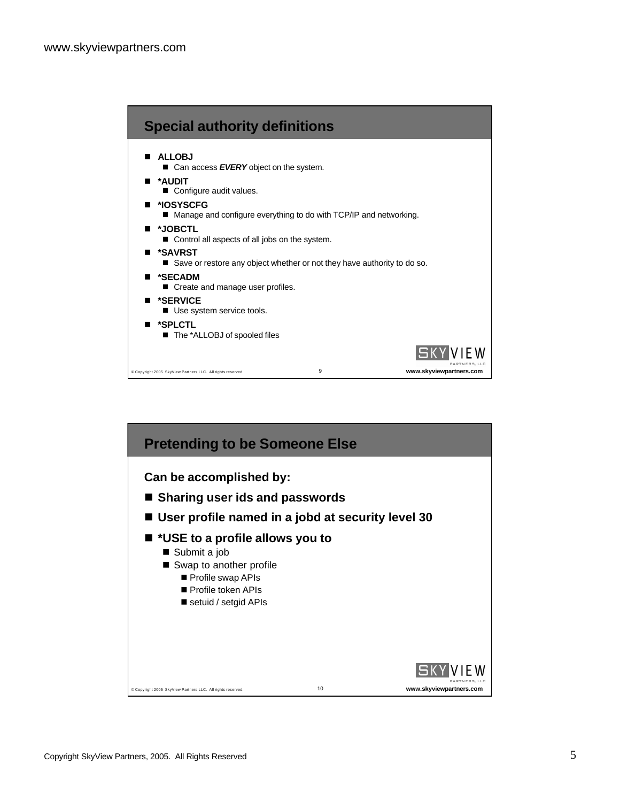

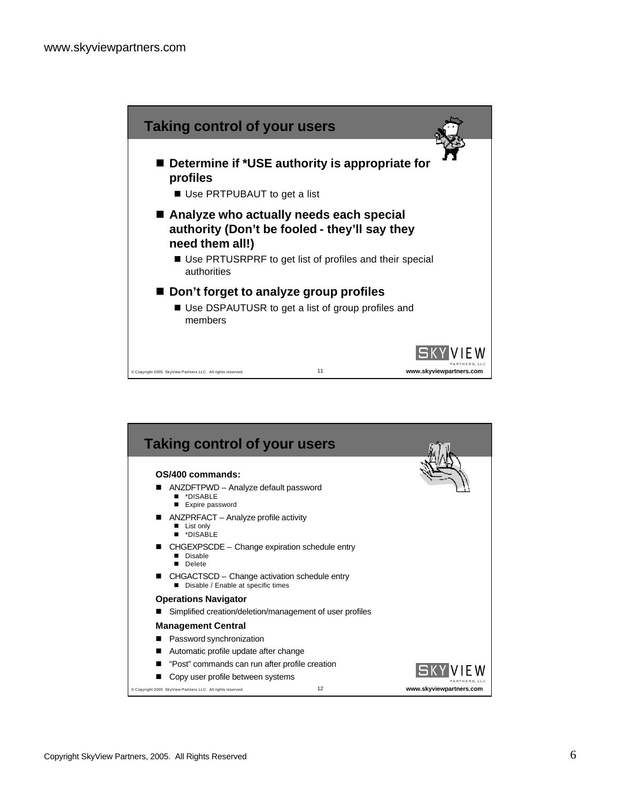

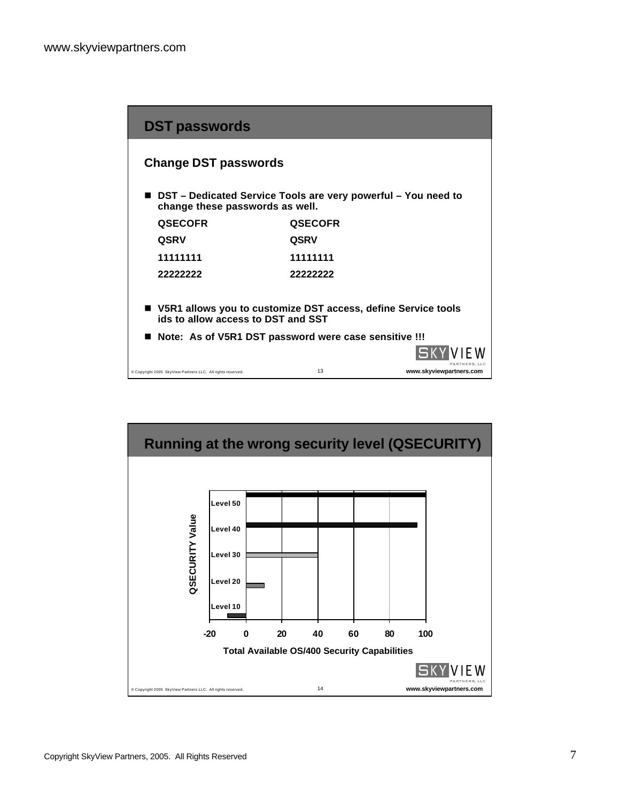| <b>DST passwords</b>                                                                                  |                |                         |
|-------------------------------------------------------------------------------------------------------|----------------|-------------------------|
| <b>Change DST passwords</b>                                                                           |                |                         |
| ■ DST – Dedicated Service Tools are very powerful – You need to<br>change these passwords as well.    |                |                         |
| <b>QSECOFR</b>                                                                                        | <b>QSECOFR</b> |                         |
| <b>QSRV</b>                                                                                           | <b>QSRV</b>    |                         |
| 11111111                                                                                              | 11111111       |                         |
| 22222222                                                                                              | 22222222       |                         |
| ■ V5R1 allows you to customize DST access, define Service tools<br>ids to allow access to DST and SST |                |                         |
| Note: As of V5R1 DST password were case sensitive !!!                                                 |                |                         |
|                                                                                                       |                |                         |
| Copyright 2005 SkyView Partners LLC. All rights reserved.                                             | 13             | www.skyviewpartners.com |

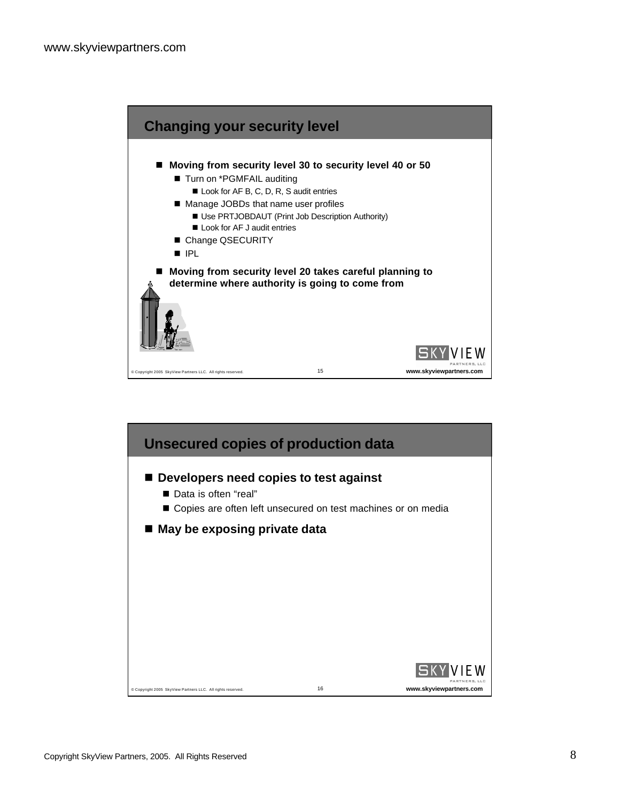

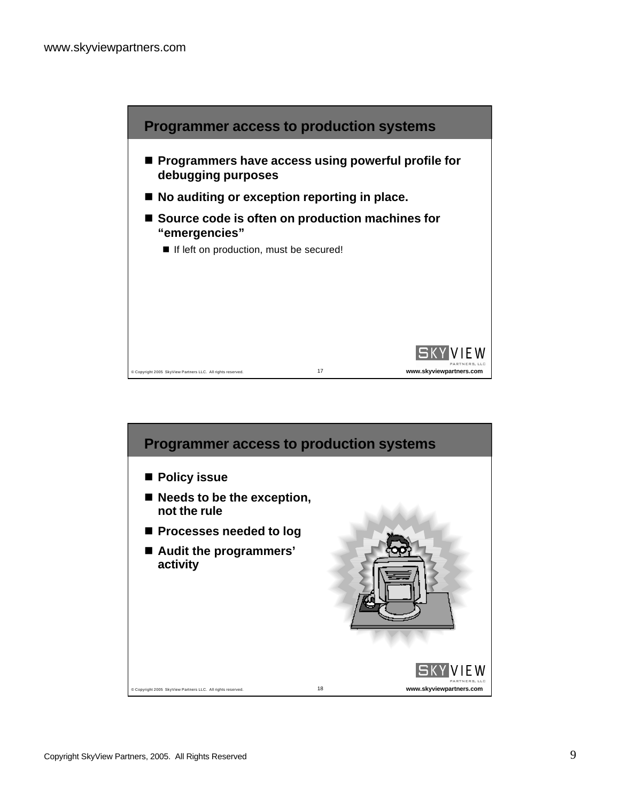

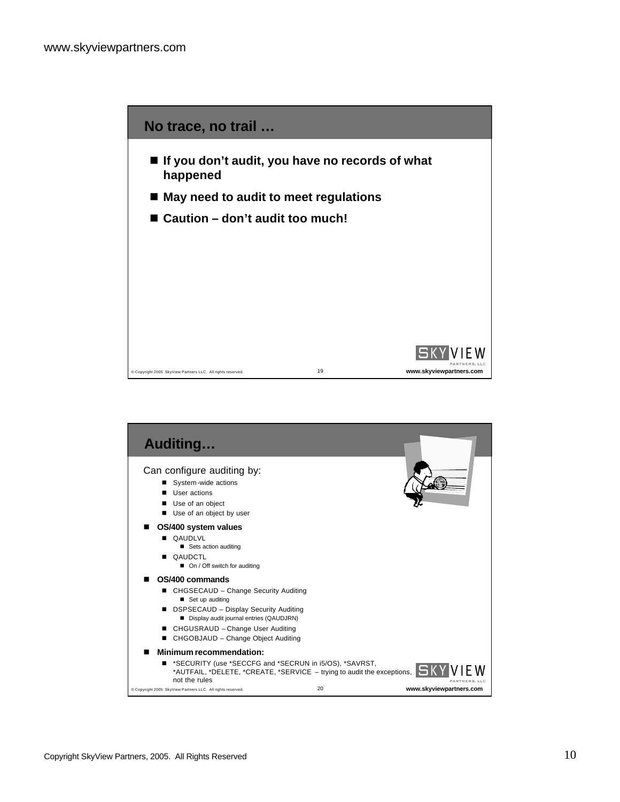

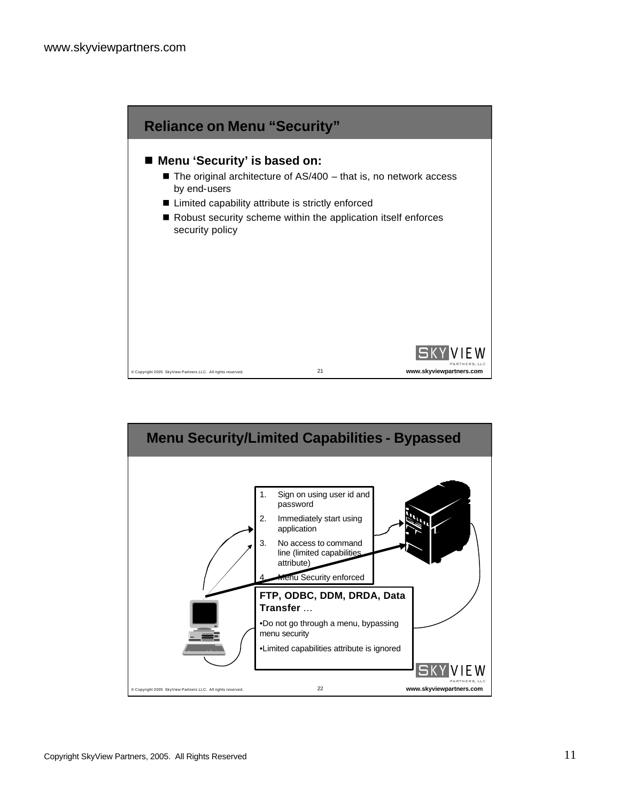

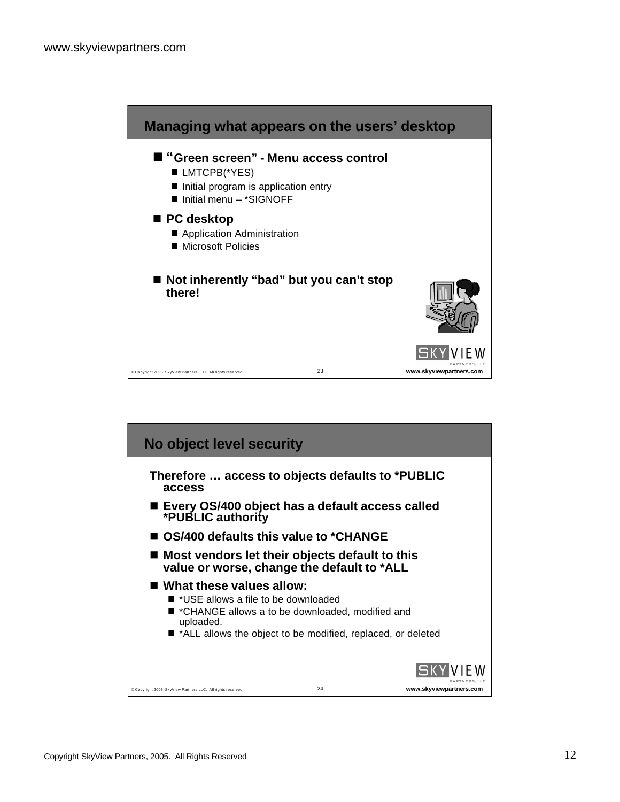

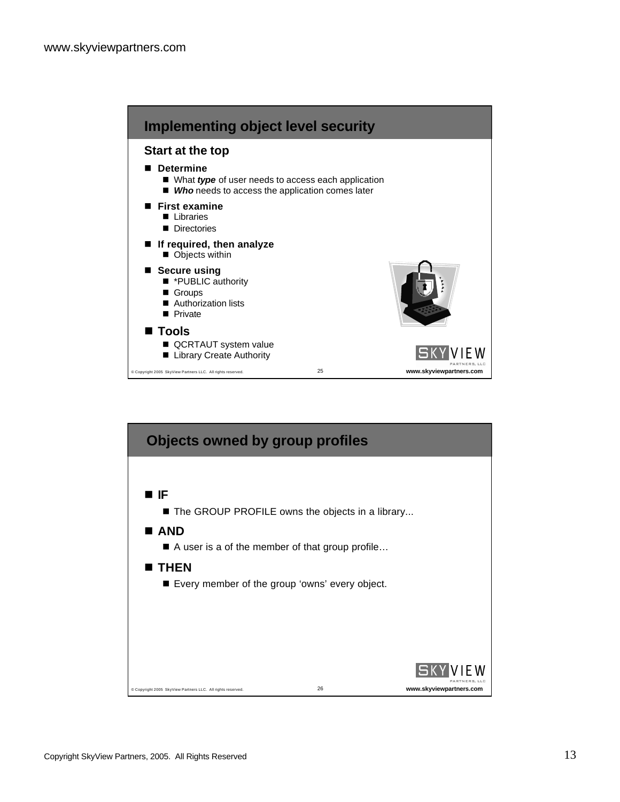

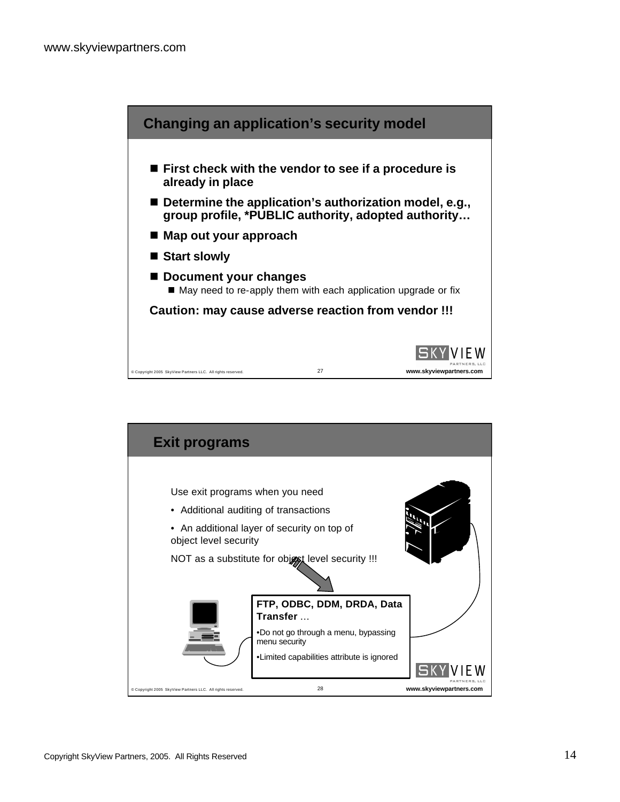

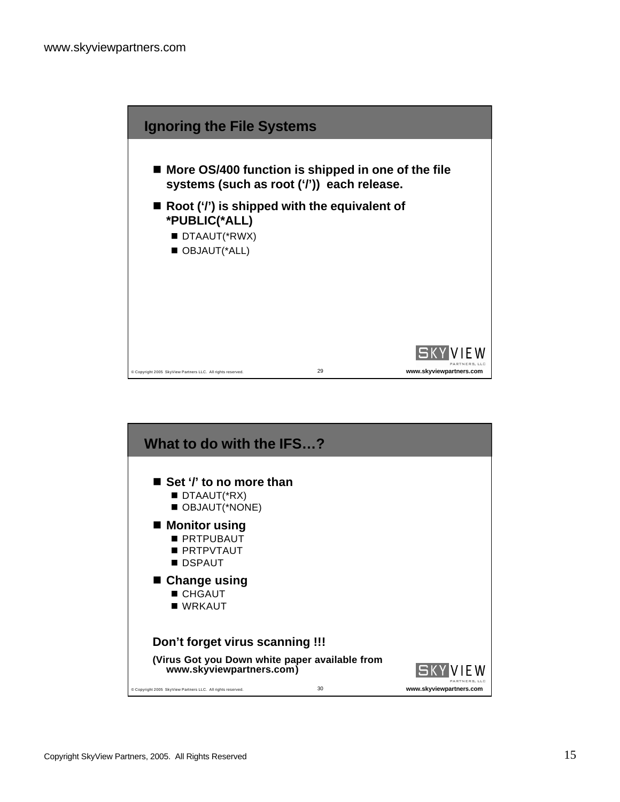

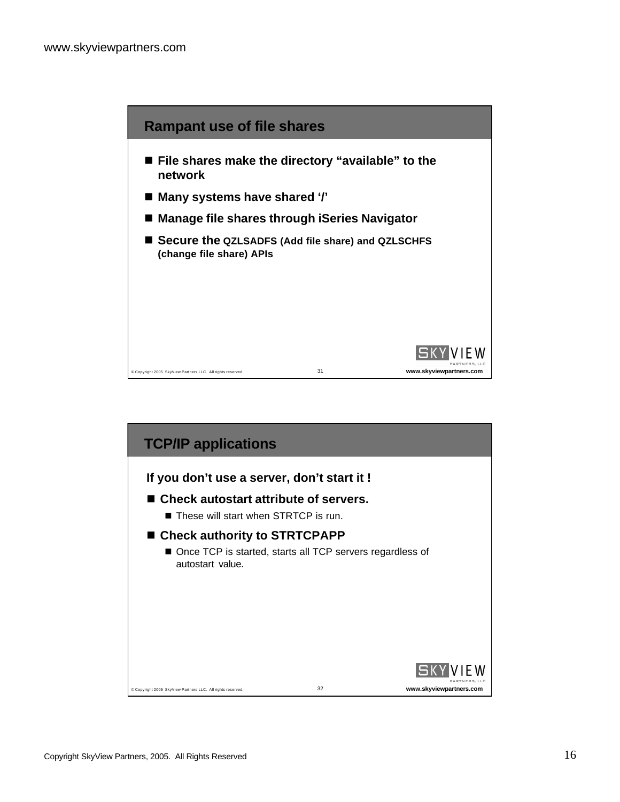

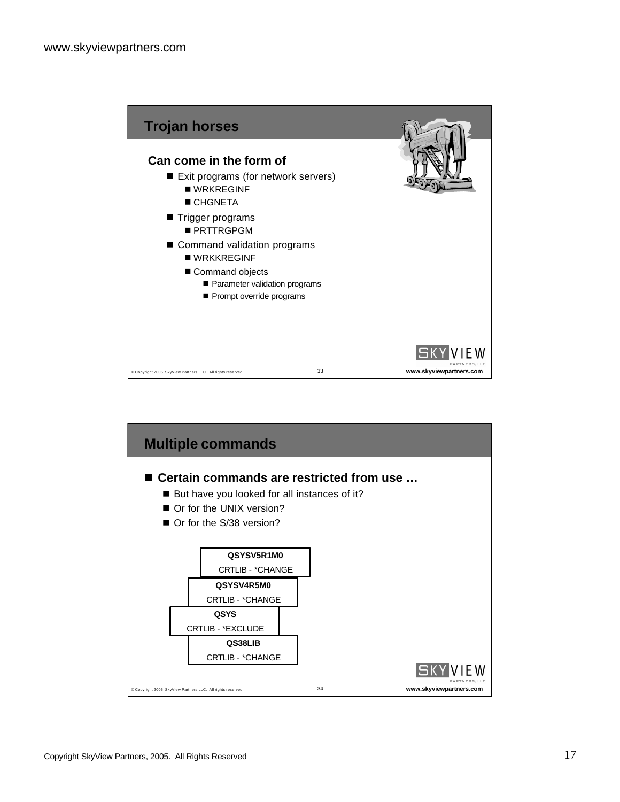

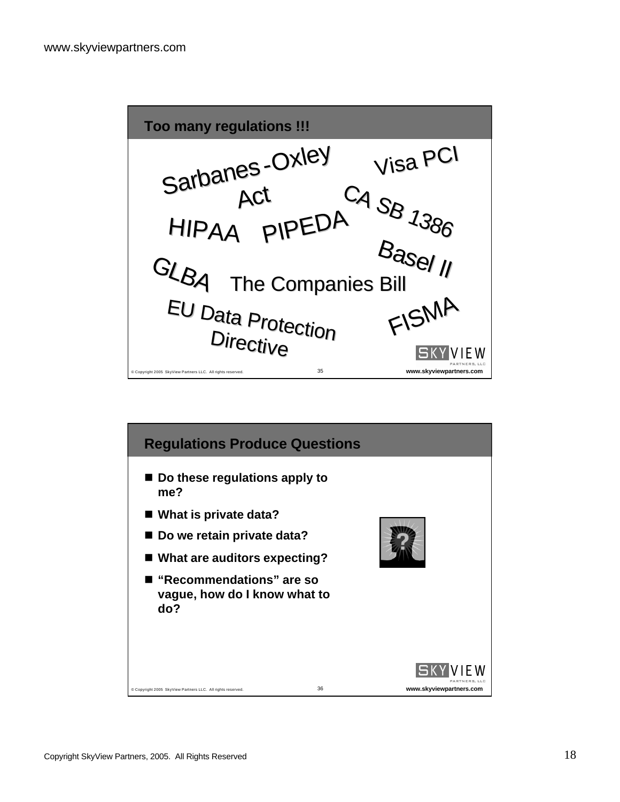

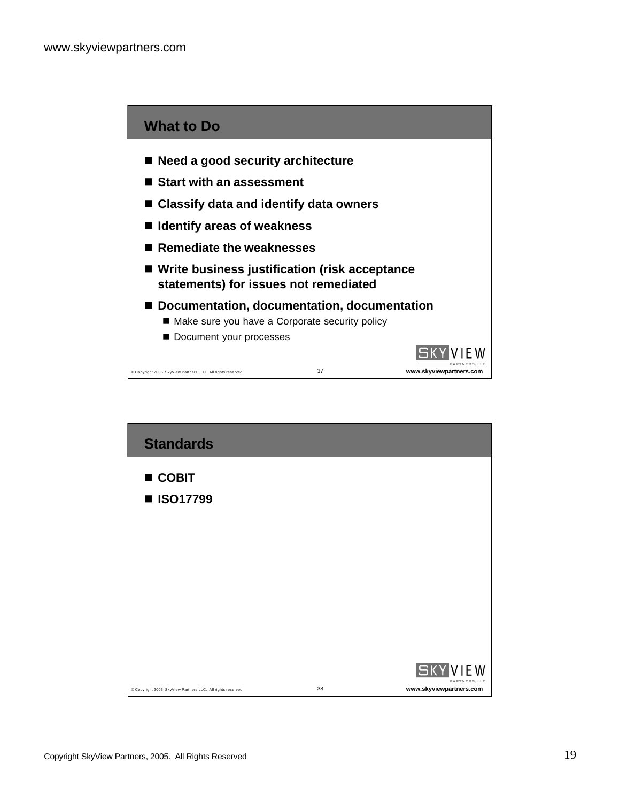

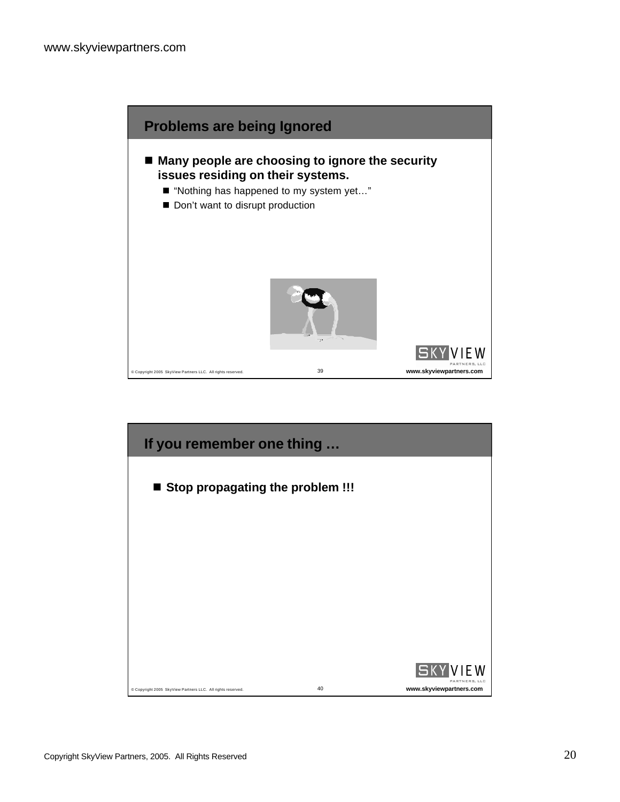